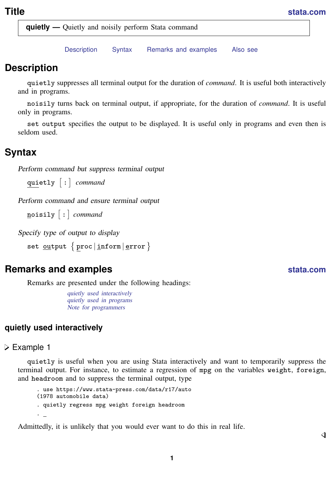<span id="page-0-4"></span>**quietly —** Quietly and noisily perform Stata command

[Description](#page-0-0) [Syntax](#page-0-1) [Remarks and examples](#page-0-2) [Also see](#page-3-0)

# <span id="page-0-0"></span>**Description**

quietly suppresses all terminal output for the duration of *command*. It is useful both interactively and in programs.

noisily turns back on terminal output, if appropriate, for the duration of *command*. It is useful only in programs.

<span id="page-0-1"></span>set output specifies the output to be displayed. It is useful only in programs and even then is seldom used.

# **Syntax**

Perform command but suppress terminal output

quietly  $[\, \colon ]$  *command* 

Perform command and ensure terminal output

<u>n</u>oisily  $\left[\: \cdot \:\right]$  *command* 

Specify type of output to display

<span id="page-0-2"></span>set <u>ou</u>tput  $\{$  proc  $|\texttt{inform}|$  error  $\}$ 

# **Remarks and examples [stata.com](http://stata.com)**

Remarks are presented under the following headings:

[quietly used interactively](#page-0-3) [quietly used in programs](#page-1-0) [Note for programmers](#page-2-0)

## <span id="page-0-3"></span>**quietly used interactively**

#### Example 1

quietly is useful when you are using Stata interactively and want to temporarily suppress the terminal output. For instance, to estimate a regression of mpg on the variables weight, foreign, and headroom and to suppress the terminal output, type

. use https://www.stata-press.com/data/r17/auto (1978 automobile data) . quietly regress mpg weight foreign headroom .

Admittedly, it is unlikely that you would ever want to do this in real life.

◁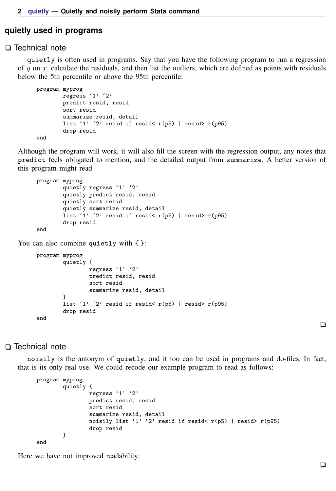## <span id="page-1-0"></span>**quietly used in programs**

### □ Technical note

quietly is often used in programs. Say that you have the following program to run a regression of  $y$  on x, calculate the residuals, and then list the outliers, which are defined as points with residuals below the 5th percentile or above the 95th percentile:

```
program myprog
        regress '1' '2'
        predict resid, resid
        sort resid
        summarize resid, detail
        list '1' '2' resid if resid< r(p5) | resid> r(p95)
        drop resid
end
```
Although the program will work, it will also fill the screen with the regression output, any notes that predict feels obligated to mention, and the detailed output from summarize. A better version of this program might read

```
program myprog
        quietly regress '1' '2'
        quietly predict resid, resid
        quietly sort resid
        quietly summarize resid, detail
        list '1' '2' resid if resid< r(p5) | resid> r(p95)drop resid
end
```
You can also combine quietly with  $\{\}$ :

```
program myprog
        quietly {
                regress '1' '2'
                predict resid, resid
                sort resid
                summarize resid, detail
        }
        list '1' '2' resid if resid< r(p5) | resid> r(p95)drop resid
end
```
 $\Box$ 

## □ Technical note

noisily is the antonym of quietly, and it too can be used in programs and do-files. In fact, that is its only real use. We could recode our example program to read as follows:

```
program myprog
        quietly {
                regress '1' '2'
                predict resid, resid
                sort resid
                summarize resid, detail
                noisily list '1' '2' resid if resid< r(p5) | resid> r(p95)drop resid
        }
end
```
Here we have not improved readability.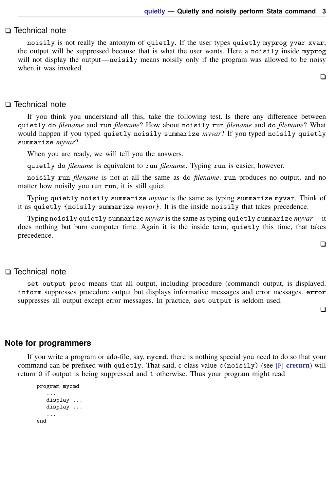## □ Technical note

noisily is not really the antonym of quietly. If the user types quietly myprog yvar xvar, the output will be suppressed because that is what the user wants. Here a noisily inside myprog will not display the output—noisily means noisily only if the program was allowed to be noisy when it was invoked.

 $\Box$ 

#### □ Technical note

If you think you understand all this, take the following test. Is there any difference between quietly do *filename* and run *filename*? How about noisily run *filename* and do *filename*? What would happen if you typed quietly noisily summarize *myvar*? If you typed noisily quietly summarize *myvar*?

When you are ready, we will tell you the answers.

quietly do *filename* is equivalent to run *filename*. Typing run is easier, however.

noisily run *filename* is not at all the same as do *filename*. run produces no output, and no matter how noisily you run run, it is still quiet.

Typing quietly noisily summarize *myvar* is the same as typing summarize myvar. Think of it as quietly {noisily summarize *myvar*}. It is the inside noisily that takes precedence.

Typing noisily quietly summarize *myvar* is the same as typing quietly summarize *myvar*—it does nothing but burn computer time. Again it is the inside term, quietly this time, that takes precedence.

```
\Box
```
### $\Box$  Technical note

set output proc means that all output, including procedure (command) output, is displayed. inform suppresses procedure output but displays informative messages and error messages. error suppresses all output except error messages. In practice, set output is seldom used.

 $\Box$ 

## <span id="page-2-0"></span>**Note for programmers**

If you write a program or ado-file, say, mycmd, there is nothing special you need to do so that your command can be prefixed with quietly. That said, c-class value  $c$  (noisily) (see [P] [creturn](https://www.stata.com/manuals/pcreturn.pdf#pcreturn)) will return 0 if output is being suppressed and 1 otherwise. Thus your program might read

```
program mycmd
   ...
   display ...
   display ...
   ...
end
```